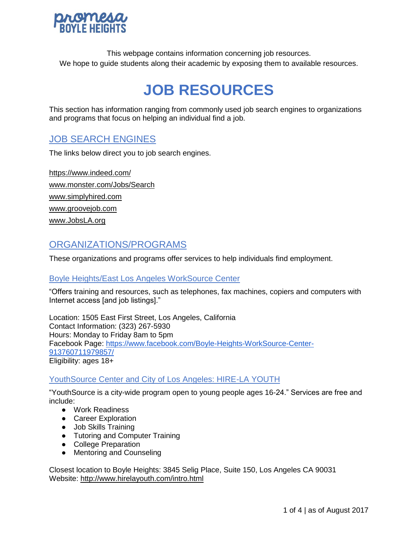

This webpage contains information concerning job resources. We hope to guide students along their academic by exposing them to available resources.

# **JOB RESOURCES**

This section has information ranging from commonly used job search engines to organizations and programs that focus on helping an individual find a job.

# JOB SEARCH ENGINES

The links below direct you to job search engines.

<https://www.indeed.com/> [www.monster.com/Jobs/Search](http://www.monster.com/Jobs/Search%E2%80%8E) [www.simplyhired.com](http://www.simplyhired.com/) [www.groovejob.com](http://www.groovejob.com/) [www.JobsLA.org](http://www.jobsla.org/)

# ORGANIZATIONS/PROGRAMS

These organizations and programs offer services to help individuals find employment.

#### Boyle Heights/East Los Angeles WorkSource Center

"Offers training and resources, such as telephones, fax machines, copiers and computers with Internet access [and job listings]."

Location: 1505 East First Street, Los Angeles, California Contact Information: (323) 267-5930 Hours: Monday to Friday 8am to 5pm Facebook Page: [https://www.facebook.com/Boyle-Heights-WorkSource-Center-](https://www.facebook.com/Boyle-Heights-WorkSource-Center-913760711979857/)[913760711979857/](https://www.facebook.com/Boyle-Heights-WorkSource-Center-913760711979857/) Eligibility: ages 18+

## YouthSource Center and City of Los Angeles: HIRE-LA YOUTH

"YouthSource is a city-wide program open to young people ages 16-24." Services are free and include:

- Work Readiness
- Career Exploration
- Job Skills Training
- Tutoring and Computer Training
- College Preparation
- Mentoring and Counseling

Closest location to Boyle Heights: 3845 Selig Place, Suite 150, Los Angeles CA 90031 Website:<http://www.hirelayouth.com/intro.html>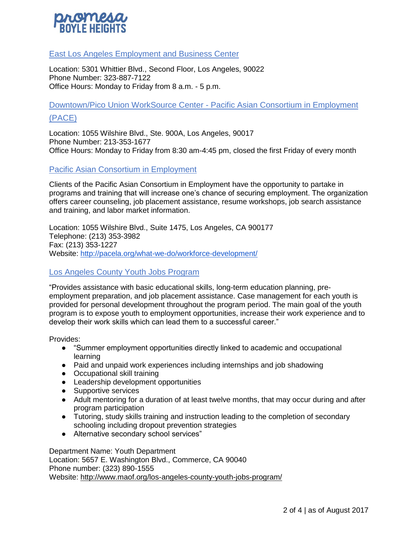

#### East Los Angeles Employment and Business Center

Location: 5301 Whittier Blvd., Second Floor, Los Angeles, 90022 Phone Number: 323-887-7122 Office Hours: Monday to Friday from 8 a.m. - 5 p.m.

Downtown/Pico Union WorkSource Center - Pacific Asian Consortium in Employment

#### (PACE)

Location: 1055 Wilshire Blvd., Ste. 900A, Los Angeles, 90017 Phone Number: 213-353-1677 Office Hours: Monday to Friday from 8:30 am-4:45 pm, closed the first Friday of every month

#### Pacific Asian Consortium in Employment

Clients of the Pacific Asian Consortium in Employment have the opportunity to partake in programs and training that will increase one's chance of securing employment. The organization offers career counseling, job placement assistance, resume workshops, job search assistance and training, and labor market information.

Location: 1055 Wilshire Blvd., Suite 1475, Los Angeles, CA 900177 Telephone: (213) 353-3982 Fax: (213) 353-1227 Website:<http://pacela.org/what-we-do/workforce-development/>

#### Los Angeles County Youth Jobs Program

"Provides assistance with basic educational skills, long-term education planning, preemployment preparation, and job placement assistance. Case management for each youth is provided for personal development throughout the program period. The main goal of the youth program is to expose youth to employment opportunities, increase their work experience and to develop their work skills which can lead them to a successful career."

Provides:

- "Summer employment opportunities directly linked to academic and occupational learning
- Paid and unpaid work experiences including internships and job shadowing
- Occupational skill training
- Leadership development opportunities
- Supportive services
- Adult mentoring for a duration of at least twelve months, that may occur during and after program participation
- Tutoring, study skills training and instruction leading to the completion of secondary schooling including dropout prevention strategies
- Alternative secondary school services"

Department Name: Youth Department Location: 5657 E. Washington Blvd., Commerce, CA 90040 Phone number: (323) 890-1555 Website:<http://www.maof.org/los-angeles-county-youth-jobs-program/>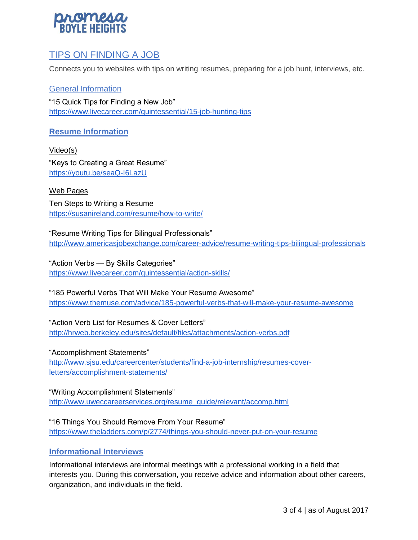

# TIPS ON FINDING A JOB

Connects you to websites with tips on writing resumes, preparing for a job hunt, interviews, etc.

General Information "15 Quick Tips for Finding a New Job" <https://www.livecareer.com/quintessential/15-job-hunting-tips>

## **Resume Information**

Video(s) "Keys to Creating a Great Resume" <https://youtu.be/seaQ-I6LazU>

Web Pages Ten Steps to Writing a Resume <https://susanireland.com/resume/how-to-write/>

"Resume Writing Tips for Bilingual Professionals" <http://www.americasjobexchange.com/career-advice/resume-writing-tips-bilingual-professionals>

"Action Verbs — By Skills Categories" <https://www.livecareer.com/quintessential/action-skills/>

"185 Powerful Verbs That Will Make Your Resume Awesome" <https://www.themuse.com/advice/185-powerful-verbs-that-will-make-your-resume-awesome>

"Action Verb List for Resumes & Cover Letters" <http://hrweb.berkeley.edu/sites/default/files/attachments/action-verbs.pdf>

"Accomplishment Statements" [http://www.sjsu.edu/careercenter/students/find-a-job-internship/resumes-cover](http://www.sjsu.edu/careercenter/students/find-a-job-internship/resumes-cover-letters/accomplishment-statements/)[letters/accomplishment-statements/](http://www.sjsu.edu/careercenter/students/find-a-job-internship/resumes-cover-letters/accomplishment-statements/)

"Writing Accomplishment Statements" [http://www.uweccareerservices.org/resume\\_guide/relevant/accomp.html](http://www.uweccareerservices.org/resume_guide/relevant/accomp.html)

"16 Things You Should Remove From Your Resume" <https://www.theladders.com/p/2774/things-you-should-never-put-on-your-resume>

## **Informational Interviews**

Informational interviews are informal meetings with a professional working in a field that interests you. During this conversation, you receive advice and information about other careers, organization, and individuals in the field.